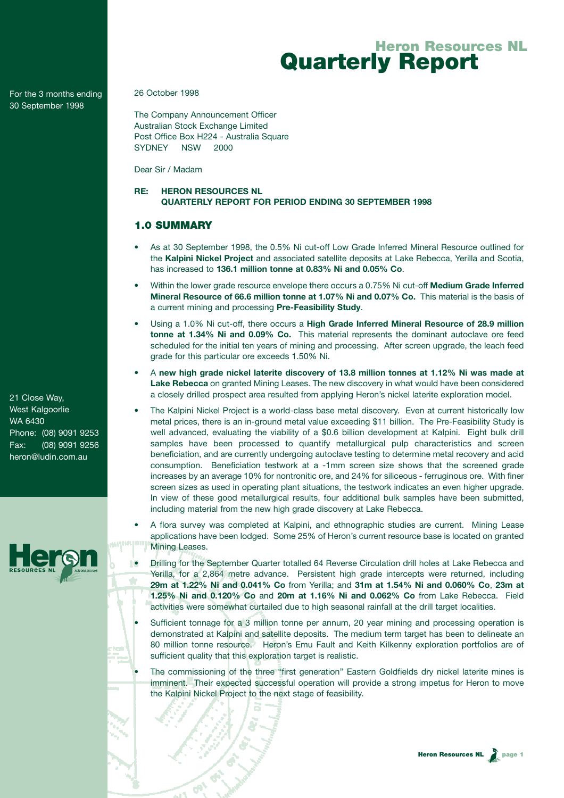For the 3 months ending 30 September 1998

26 October 1998

The Company Announcement Officer Australian Stock Exchange Limited Post Office Box H224 - Australia Square SYDNEY NSW 2000

Dear Sir / Madam

## **RE: HERON RESOURCES NL QUARTERLY REPORT FOR PERIOD ENDING 30 SEPTEMBER 1998**

## 1.0 SUMMARY

- As at 30 September 1998, the 0.5% Ni cut-off Low Grade Inferred Mineral Resource outlined for the **Kalpini Nickel Project** and associated satellite deposits at Lake Rebecca, Yerilla and Scotia, has increased to **136.1 million tonne at 0.83% Ni and 0.05% Co**.
- Within the lower grade resource envelope there occurs a 0.75% Ni cut-off **Medium Grade Inferred Mineral Resource of 66.6 million tonne at 1.07% Ni and 0.07% Co.** This material is the basis of a current mining and processing **Pre-Feasibility Study**.
- Using a 1.0% Ni cut-off, there occurs a **High Grade Inferred Mineral Resource of 28.9 million tonne at 1.34% Ni and 0.09% Co.** This material represents the dominant autoclave ore feed scheduled for the initial ten years of mining and processing. After screen upgrade, the leach feed grade for this particular ore exceeds 1.50% Ni.
- A **new high grade nickel laterite discovery of 13.8 million tonnes at 1.12% Ni was made at Lake Rebecca** on granted Mining Leases. The new discovery in what would have been considered a closely drilled prospect area resulted from applying Heron's nickel laterite exploration model.
- The Kalpini Nickel Project is a world-class base metal discovery. Even at current historically low metal prices, there is an in-ground metal value exceeding \$11 billion. The Pre-Feasibility Study is well advanced, evaluating the viability of a \$0.6 billion development at Kalpini. Eight bulk drill samples have been processed to quantify metallurgical pulp characteristics and screen beneficiation, and are currently undergoing autoclave testing to determine metal recovery and acid consumption. Beneficiation testwork at a -1mm screen size shows that the screened grade increases by an average 10% for nontronitic ore, and 24% for siliceous - ferruginous ore. With finer screen sizes as used in operating plant situations, the testwork indicates an even higher upgrade. In view of these good metallurgical results, four additional bulk samples have been submitted, including material from the new high grade discovery at Lake Rebecca.
- A flora survey was completed at Kalpini, and ethnographic studies are current. Mining Lease applications have been lodged. Some 25% of Heron's current resource base is located on granted Mining Leases.
- Drilling for the September Quarter totalled 64 Reverse Circulation drill holes at Lake Rebecca and Yerilla, for a 2,864 metre advance. Persistent high grade intercepts were returned, including ٠ **29m at 1.22% Ni and 0.041% Co** from Yerilla; and **31m at 1.54% Ni and 0.060% Co**, **23m at 1.25% Ni and 0.120% Co** and **20m at 1.16% Ni and 0.062% Co** from Lake Rebecca. Field activities were somewhat curtailed due to high seasonal rainfall at the drill target localities.
- Sufficient tonnage for a 3 million tonne per annum, 20 year mining and processing operation is demonstrated at Kalpini and satellite deposits. The medium term target has been to delineate an 80 million tonne resource. Heron's Emu Fault and Keith Kilkenny exploration portfolios are of sufficient quality that this exploration target is realistic.
- The commissioning of the three "first generation" Eastern Goldfields dry nickel laterite mines is imminent. Their expected successful operation will provide a strong impetus for Heron to move the Kalpini Nickel Project to the next stage of feasibility.

21 Close Way, West Kalgoorlie WA 6430 Phone: (08) 9091 9253 Fax: (08) 9091 9256 heron@ludin.com.au

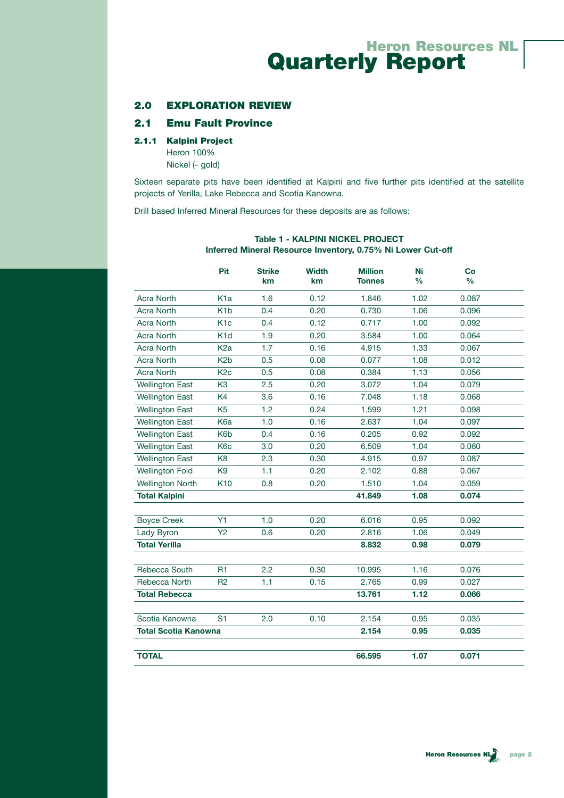### 2.0 EXPLORATION REVIEW

## 2.1 Emu Fault Province

#### 2.1.1 Kalpini Project

Heron 100% Nickel (- gold)

Sixteen separate pits have been identified at Kalpini and five further pits identified at the satellite projects of Yerilla, Lake Rebecca and Scotia Kanowna.

Drill based Inferred Mineral Resources for these deposits are as follows:

|                             | <b>Pit</b>       | Strike<br>km | <b>Width</b><br><b>km</b> | <b>Million</b><br><b>Tonnes</b> | Ni<br>$\frac{0}{0}$ | Co<br>$\frac{0}{0}$ |  |
|-----------------------------|------------------|--------------|---------------------------|---------------------------------|---------------------|---------------------|--|
| <b>Acra North</b>           | K <sub>1</sub> a | 1.6          | 0.12                      | 1.846                           | 1.02                | 0.087               |  |
| <b>Acra North</b>           | K <sub>1</sub> b | 0.4          | 0.20                      | 0.730                           | 1.06                | 0.096               |  |
| <b>Acra North</b>           | K <sub>1c</sub>  | 0.4          | 0.12                      | 0.717                           | 1.00                | 0.092               |  |
| <b>Acra North</b>           | K <sub>1</sub> d | 1.9          | 0.20                      | 3.584                           | 1.00                | 0.064               |  |
| <b>Acra North</b>           | K <sub>2</sub> a | 1.7          | 0.16                      | 4.915                           | 1.33                | 0.067               |  |
| <b>Acra North</b>           | K <sub>2</sub> b | 0.5          | 0.08                      | 0.077                           | 1.08                | 0.012               |  |
| <b>Acra North</b>           | K <sub>2c</sub>  | 0.5          | 0.08                      | 0.384                           | 1.13                | 0.056               |  |
| <b>Wellington East</b>      | K <sub>3</sub>   | 2.5          | 0.20                      | 3.072                           | 1.04                | 0.079               |  |
| <b>Wellington East</b>      | K <sub>4</sub>   | 3.6          | 0.16                      | 7.048                           | 1.18                | 0.068               |  |
| <b>Wellington East</b>      | K <sub>5</sub>   | 1.2          | 0.24                      | 1.599                           | 1.21                | 0.098               |  |
| <b>Wellington East</b>      | K <sub>6</sub> a | 1.0          | 0.16                      | 2.637                           | 1.04                | 0.097               |  |
| <b>Wellington East</b>      | K <sub>6</sub> b | 0.4          | 0.16                      | 0.205                           | 0.92                | 0.092               |  |
| <b>Wellington East</b>      | K <sub>6</sub> c | 3.0          | 0.20                      | 6.509                           | 1.04                | 0.060               |  |
| <b>Wellington East</b>      | K <sub>8</sub>   | 2.3          | 0.30                      | 4.915                           | 0.97                | 0.087               |  |
| <b>Wellington Fold</b>      | K <sub>9</sub>   | 1.1          | 0.20                      | 2.102                           | 0.88                | 0.067               |  |
| <b>Wellington North</b>     | K <sub>10</sub>  | 0.8          | 0.20                      | 1.510                           | 1.04                | 0.059               |  |
| <b>Total Kalpini</b>        |                  |              |                           | 41.849                          | 1.08                | 0.074               |  |
| <b>Boyce Creek</b>          | Y1               | 1.0          | 0.20                      | 6.016                           | 0.95                | 0.092               |  |
| Lady Byron                  | <b>Y2</b>        | 0.6          | 0.20                      | 2.816                           | 1.06                | 0.049               |  |
| <b>Total Yerilla</b>        |                  |              |                           | 8.832                           | 0.98                | 0.079               |  |
| Rebecca South               | <b>R1</b>        | 2.2          | 0.30                      | 10.995                          | 1.16                | 0.076               |  |
| Rebecca North               | R2               | 1.1          | 0.15                      | 2.765                           | 0.99                | 0.027               |  |
| <b>Total Rebecca</b>        |                  |              |                           | 13.761                          | 1.12                | 0.066               |  |
| Scotia Kanowna              | S <sub>1</sub>   | 2.0          | 0.10                      | 2.154                           | 0.95                | 0.035               |  |
| <b>Total Scotia Kanowna</b> |                  |              |                           | 2.154                           | 0.95                | 0.035               |  |
| <b>TOTAL</b>                |                  |              |                           | 66,595                          | 1.07                | 0.071               |  |

#### **Table 1 - KALPINI NICKEL PROJECT Inferred Mineral Resource Inventory, 0.75% Ni Lower Cut-off**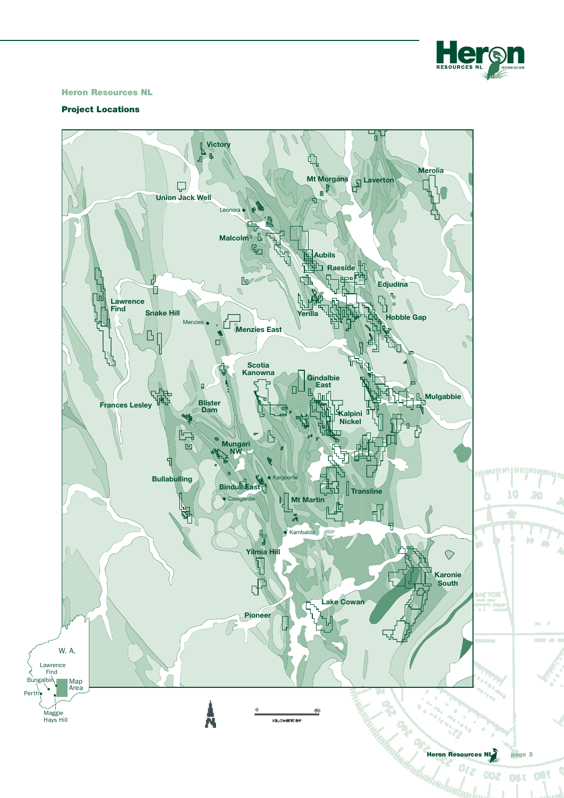

#### Heron Resources NL

#### Project Locations

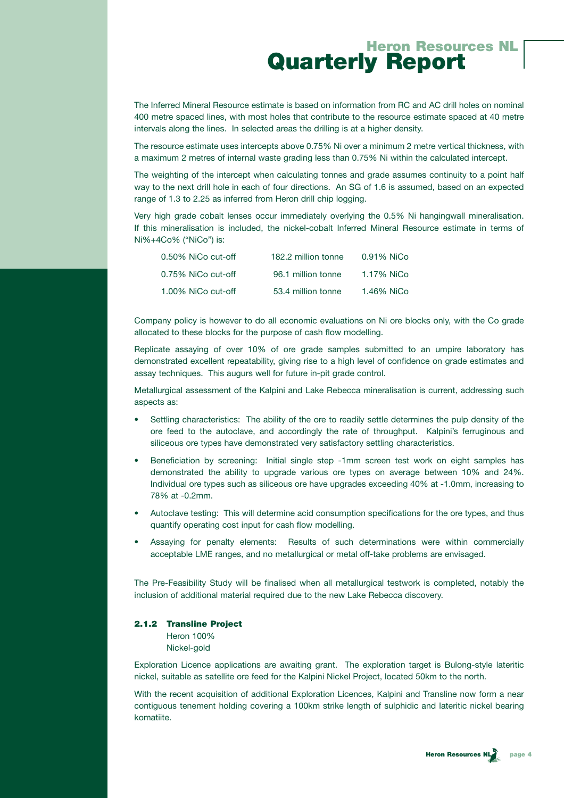The Inferred Mineral Resource estimate is based on information from RC and AC drill holes on nominal 400 metre spaced lines, with most holes that contribute to the resource estimate spaced at 40 metre intervals along the lines. In selected areas the drilling is at a higher density.

The resource estimate uses intercepts above 0.75% Ni over a minimum 2 metre vertical thickness, with a maximum 2 metres of internal waste grading less than 0.75% Ni within the calculated intercept.

The weighting of the intercept when calculating tonnes and grade assumes continuity to a point half way to the next drill hole in each of four directions. An SG of 1.6 is assumed, based on an expected range of 1.3 to 2.25 as inferred from Heron drill chip logging.

Very high grade cobalt lenses occur immediately overlying the 0.5% Ni hangingwall mineralisation. If this mineralisation is included, the nickel-cobalt Inferred Mineral Resource estimate in terms of Ni%+4Co% ("NiCo") is:

| 0.50% NiCo cut-off | 182.2 million tonne | 0.91% NiCo |
|--------------------|---------------------|------------|
| 0.75% NiCo cut-off | 96.1 million tonne  | 1.17% NiCo |
| 1.00% NiCo cut-off | 53.4 million tonne  | 1.46% NiCo |

Company policy is however to do all economic evaluations on Ni ore blocks only, with the Co grade allocated to these blocks for the purpose of cash flow modelling.

Replicate assaying of over 10% of ore grade samples submitted to an umpire laboratory has demonstrated excellent repeatability, giving rise to a high level of confidence on grade estimates and assay techniques. This augurs well for future in-pit grade control.

Metallurgical assessment of the Kalpini and Lake Rebecca mineralisation is current, addressing such aspects as:

- Settling characteristics: The ability of the ore to readily settle determines the pulp density of the ore feed to the autoclave, and accordingly the rate of throughput. Kalpini's ferruginous and siliceous ore types have demonstrated very satisfactory settling characteristics.
- Beneficiation by screening: Initial single step -1mm screen test work on eight samples has demonstrated the ability to upgrade various ore types on average between 10% and 24%. Individual ore types such as siliceous ore have upgrades exceeding 40% at -1.0mm, increasing to 78% at -0.2mm.
- Autoclave testing: This will determine acid consumption specifications for the ore types, and thus quantify operating cost input for cash flow modelling.
- Assaying for penalty elements: Results of such determinations were within commercially acceptable LME ranges, and no metallurgical or metal off-take problems are envisaged.

The Pre-Feasibility Study will be finalised when all metallurgical testwork is completed, notably the inclusion of additional material required due to the new Lake Rebecca discovery.

#### 2.1.2 Transline Project

Heron 100% Nickel-gold

Exploration Licence applications are awaiting grant. The exploration target is Bulong-style lateritic nickel, suitable as satellite ore feed for the Kalpini Nickel Project, located 50km to the north.

With the recent acquisition of additional Exploration Licences, Kalpini and Transline now form a near contiguous tenement holding covering a 100km strike length of sulphidic and lateritic nickel bearing komatiite.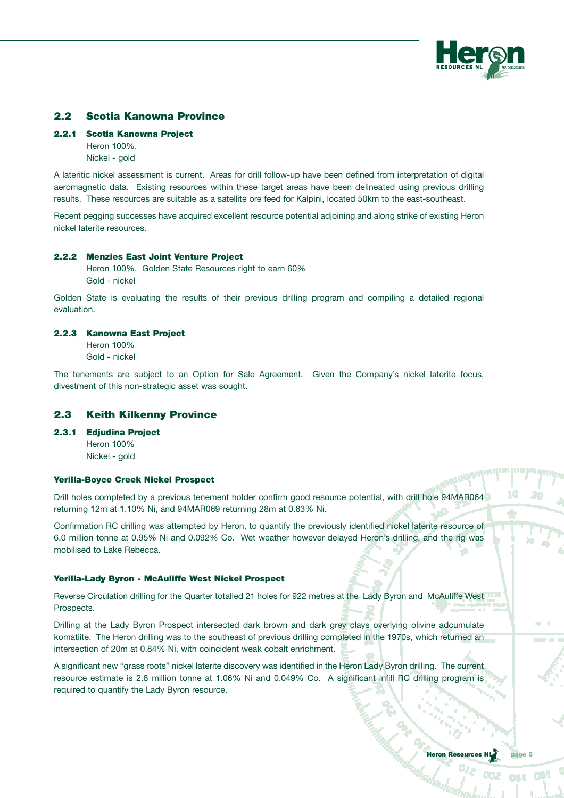

## 2.2 Scotia Kanowna Province

#### 2.2.1 Scotia Kanowna Project

Heron 100%. Nickel - gold

A lateritic nickel assessment is current. Areas for drill follow-up have been defined from interpretation of digital aeromagnetic data. Existing resources within these target areas have been delineated using previous drilling results. These resources are suitable as a satellite ore feed for Kalpini, located 50km to the east-southeast.

Recent pegging successes have acquired excellent resource potential adjoining and along strike of existing Heron nickel laterite resources.

#### 2.2.2 Menzies East Joint Venture Project

Heron 100%. Golden State Resources right to earn 60% Gold - nickel

Golden State is evaluating the results of their previous drilling program and compiling a detailed regional evaluation.

#### 2.2.3 Kanowna East Project

Heron 100% Gold - nickel

The tenements are subject to an Option for Sale Agreement. Given the Company's nickel laterite focus, divestment of this non-strategic asset was sought.

#### 2.3 Keith Kilkenny Province

2.3.1 Edjudina Project

Heron 100% Nickel - gold

#### Yerilla-Boyce Creek Nickel Prospect

Drill holes completed by a previous tenement holder confirm good resource potential, with drill hole 94MAR064 returning 12m at 1.10% Ni, and 94MAR069 returning 28m at 0.83% Ni.

Confirmation RC drilling was attempted by Heron, to quantify the previously identified nickel laterite resource of 6.0 million tonne at 0.95% Ni and 0.092% Co. Wet weather however delayed Heron's drilling, and the rig was mobilised to Lake Rebecca.

#### Yerilla-Lady Byron - McAuliffe West Nickel Prospect

Reverse Circulation drilling for the Quarter totalled 21 holes for 922 metres at the Lady Byron and McAuliffe West Prospects.

Drilling at the Lady Byron Prospect intersected dark brown and dark grey clays overlying olivine adcumulate komatiite. The Heron drilling was to the southeast of previous drilling completed in the 1970s, which returned an intersection of 20m at 0.84% Ni, with coincident weak cobalt enrichment.

A significant new "grass roots" nickel laterite discovery was identified in the Heron Lady Byron drilling. The current resource estimate is 2.8 million tonne at 1.06% Ni and 0.049% Co. A significant infill RC drilling program is required to quantify the Lady Byron resource.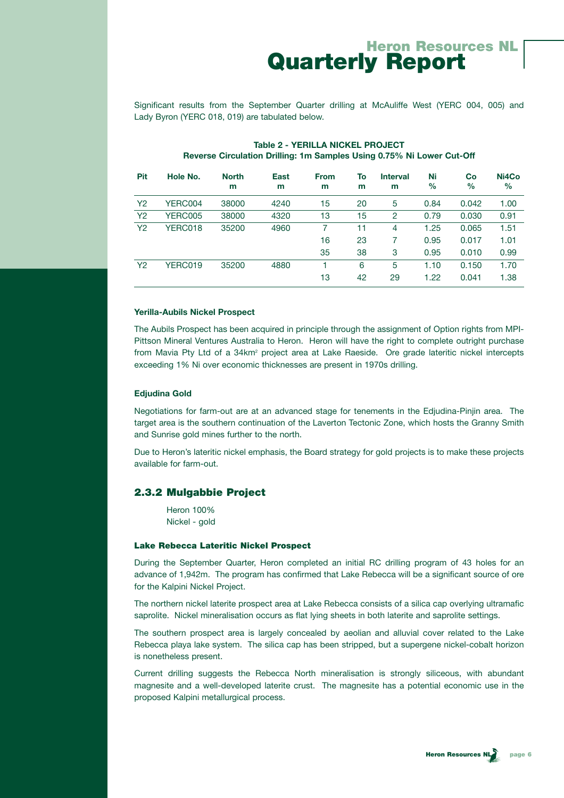Significant results from the September Quarter drilling at McAuliffe West (YERC 004, 005) and Lady Byron (YERC 018, 019) are tabulated below.

| <b>Pit</b>     | Hole No. | <b>North</b><br>m | <b>East</b><br>m | <b>From</b><br>m | To<br>m | <b>Interval</b><br>m | Ni<br>$\%$ | Co<br>$\%$ | Ni4Co<br>$\%$ |
|----------------|----------|-------------------|------------------|------------------|---------|----------------------|------------|------------|---------------|
| Y <sub>2</sub> | YERC004  | 38000             | 4240             | 15               | 20      | 5                    | 0.84       | 0.042      | 1.00          |
| <b>Y2</b>      | YERC005  | 38000             | 4320             | 13               | 15      | 2                    | 0.79       | 0.030      | 0.91          |
| Y <sub>2</sub> | YERC018  | 35200             | 4960             |                  | 11      | 4                    | 1.25       | 0.065      | 1.51          |
|                |          |                   |                  | 16               | 23      |                      | 0.95       | 0.017      | 1.01          |
|                |          |                   |                  | 35               | 38      | 3                    | 0.95       | 0.010      | 0.99          |
| Y <sub>2</sub> | YERC019  | 35200             | 4880             |                  | 6       | 5                    | 1.10       | 0.150      | 1.70          |
|                |          |                   |                  | 13               | 42      | 29                   | 1.22       | 0.041      | 1.38          |

## **Table 2 - YERILLA NICKEL PROJECT Reverse Circulation Drilling: 1m Samples Using 0.75% Ni Lower Cut-Off**

#### **Yerilla-Aubils Nickel Prospect**

The Aubils Prospect has been acquired in principle through the assignment of Option rights from MPI-Pittson Mineral Ventures Australia to Heron. Heron will have the right to complete outright purchase from Mavia Pty Ltd of a 34km<sup>2</sup> project area at Lake Raeside. Ore grade lateritic nickel intercepts exceeding 1% Ni over economic thicknesses are present in 1970s drilling.

#### **Edjudina Gold**

Negotiations for farm-out are at an advanced stage for tenements in the Edjudina-Pinjin area. The target area is the southern continuation of the Laverton Tectonic Zone, which hosts the Granny Smith and Sunrise gold mines further to the north.

Due to Heron's lateritic nickel emphasis, the Board strategy for gold projects is to make these projects available for farm-out.

## 2.3.2 Mulgabbie Project

Heron 100% Nickel - gold

#### Lake Rebecca Lateritic Nickel Prospect

During the September Quarter, Heron completed an initial RC drilling program of 43 holes for an advance of 1,942m. The program has confirmed that Lake Rebecca will be a significant source of ore for the Kalpini Nickel Project.

The northern nickel laterite prospect area at Lake Rebecca consists of a silica cap overlying ultramafic saprolite. Nickel mineralisation occurs as flat lying sheets in both laterite and saprolite settings.

The southern prospect area is largely concealed by aeolian and alluvial cover related to the Lake Rebecca playa lake system. The silica cap has been stripped, but a supergene nickel-cobalt horizon is nonetheless present.

Current drilling suggests the Rebecca North mineralisation is strongly siliceous, with abundant magnesite and a well-developed laterite crust. The magnesite has a potential economic use in the proposed Kalpini metallurgical process.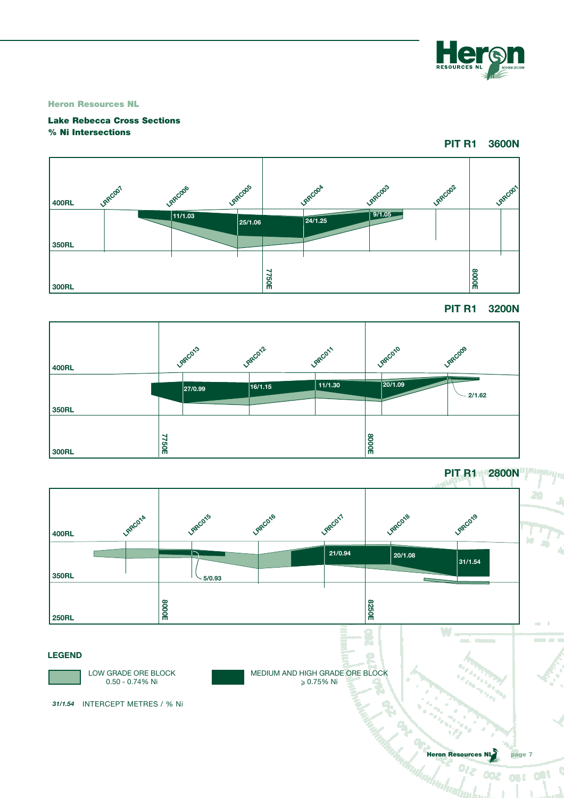

Heron Resources NL

## Lake Rebecca Cross Sections % Ni Intersections

**PIT R1 3600N**



**PIT R1 3200N**



**PIT R1 2800N**

OST ORL

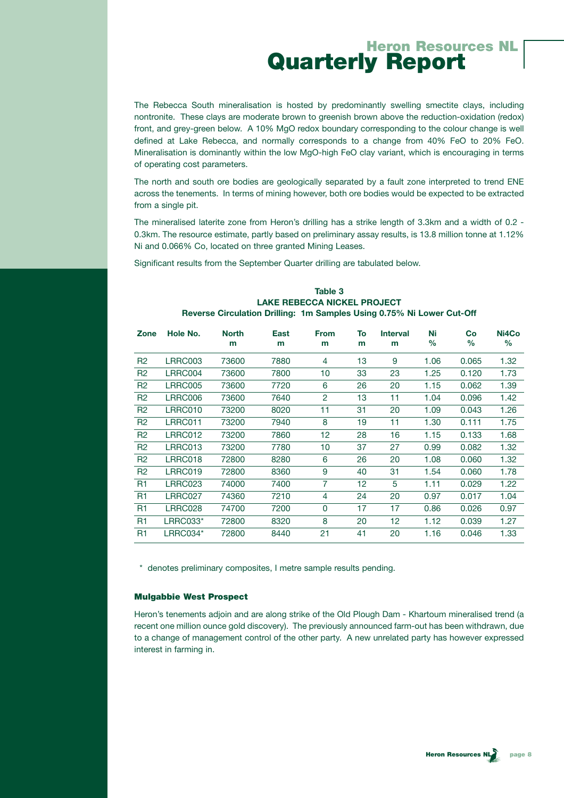The Rebecca South mineralisation is hosted by predominantly swelling smectite clays, including nontronite. These clays are moderate brown to greenish brown above the reduction-oxidation (redox) front, and grey-green below. A 10% MgO redox boundary corresponding to the colour change is well defined at Lake Rebecca, and normally corresponds to a change from 40% FeO to 20% FeO. Mineralisation is dominantly within the low MgO-high FeO clay variant, which is encouraging in terms of operating cost parameters.

The north and south ore bodies are geologically separated by a fault zone interpreted to trend ENE across the tenements. In terms of mining however, both ore bodies would be expected to be extracted from a single pit.

The mineralised laterite zone from Heron's drilling has a strike length of 3.3km and a width of 0.2 - 0.3km. The resource estimate, partly based on preliminary assay results, is 13.8 million tonne at 1.12% Ni and 0.066% Co, located on three granted Mining Leases.

Significant results from the September Quarter drilling are tabulated below.

| Zone           | Hole No.        | <b>North</b><br>m | East<br>m | <b>From</b><br>m | To<br>m | <b>Interval</b><br>m | Ni<br>$\%$ | Co<br>$\%$ | Ni4Co<br>$\%$ |
|----------------|-----------------|-------------------|-----------|------------------|---------|----------------------|------------|------------|---------------|
| R <sub>2</sub> | LRRC003         | 73600             | 7880      | 4                | 13      | 9                    | 1.06       | 0.065      | 1.32          |
| R <sub>2</sub> | LRRC004         | 73600             | 7800      | 10               | 33      | 23                   | 1.25       | 0.120      | 1.73          |
| R <sub>2</sub> | <b>LRRC005</b>  | 73600             | 7720      | 6                | 26      | 20                   | 1.15       | 0.062      | 1.39          |
| R <sub>2</sub> | LRRC006         | 73600             | 7640      | 2                | 13      | 11                   | 1.04       | 0.096      | 1.42          |
| R <sub>2</sub> | LRRC010         | 73200             | 8020      | 11               | 31      | 20                   | 1.09       | 0.043      | 1.26          |
| R2             | LRRC011         | 73200             | 7940      | 8                | 19      | 11                   | 1.30       | 0.111      | 1.75          |
| R <sub>2</sub> | LRRC012         | 73200             | 7860      | 12               | 28      | 16                   | 1.15       | 0.133      | 1.68          |
| R <sub>2</sub> | LRRC013         | 73200             | 7780      | 10               | 37      | 27                   | 0.99       | 0.082      | 1.32          |
| R <sub>2</sub> | LRRC018         | 72800             | 8280      | 6                | 26      | 20                   | 1.08       | 0.060      | 1.32          |
| R <sub>2</sub> | LRRC019         | 72800             | 8360      | 9                | 40      | 31                   | 1.54       | 0.060      | 1.78          |
| R <sub>1</sub> | LRRC023         | 74000             | 7400      | $\overline{7}$   | 12      | 5                    | 1.11       | 0.029      | 1.22          |
| R <sub>1</sub> | LRRC027         | 74360             | 7210      | 4                | 24      | 20                   | 0.97       | 0.017      | 1.04          |
| R <sub>1</sub> | LRRC028         | 74700             | 7200      | 0                | 17      | 17                   | 0.86       | 0.026      | 0.97          |
| R <sub>1</sub> | <b>LRRC033*</b> | 72800             | 8320      | 8                | 20      | 12                   | 1.12       | 0.039      | 1.27          |
| R <sub>1</sub> | LRRC034*        | 72800             | 8440      | 21               | 41      | 20                   | 1.16       | 0.046      | 1.33          |

#### **Table 3 LAKE REBECCA NICKEL PROJECT Reverse Circulation Drilling: 1m Samples Using 0.75% Ni Lower Cut-Off**

\* denotes preliminary composites, I metre sample results pending.

#### Mulgabbie West Prospect

Heron's tenements adjoin and are along strike of the Old Plough Dam - Khartoum mineralised trend (a recent one million ounce gold discovery). The previously announced farm-out has been withdrawn, due to a change of management control of the other party. A new unrelated party has however expressed interest in farming in.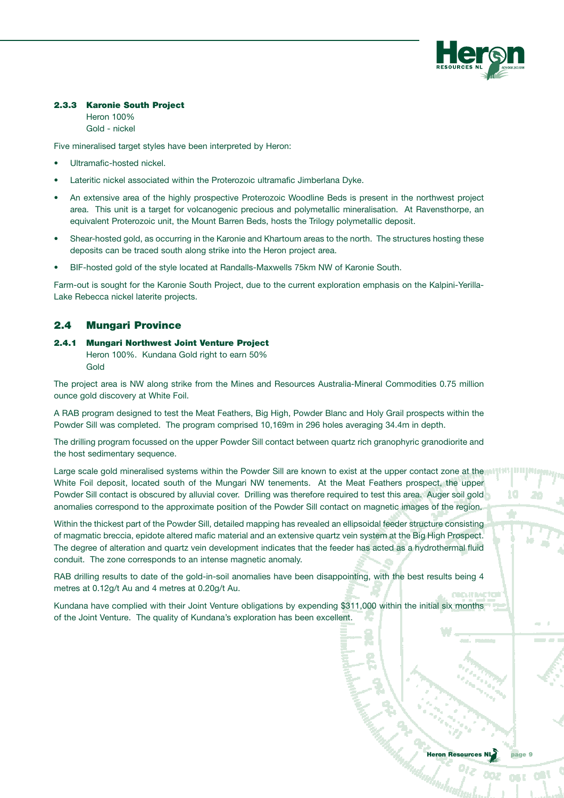

#### 2.3.3 Karonie South Project

Heron 100% Gold - nickel

Five mineralised target styles have been interpreted by Heron:

- Ultramafic-hosted nickel.
- Lateritic nickel associated within the Proterozoic ultramafic Jimberlana Dyke.
- An extensive area of the highly prospective Proterozoic Woodline Beds is present in the northwest project area. This unit is a target for volcanogenic precious and polymetallic mineralisation. At Ravensthorpe, an equivalent Proterozoic unit, the Mount Barren Beds, hosts the Trilogy polymetallic deposit.
- Shear-hosted gold, as occurring in the Karonie and Khartoum areas to the north. The structures hosting these deposits can be traced south along strike into the Heron project area.
- BIF-hosted gold of the style located at Randalls-Maxwells 75km NW of Karonie South.

Farm-out is sought for the Karonie South Project, due to the current exploration emphasis on the Kalpini-Yerilla-Lake Rebecca nickel laterite projects.

## 2.4 Mungari Province

2.4.1 Mungari Northwest Joint Venture Project Heron 100%. Kundana Gold right to earn 50% Gold

The project area is NW along strike from the Mines and Resources Australia-Mineral Commodities 0.75 million ounce gold discovery at White Foil.

A RAB program designed to test the Meat Feathers, Big High, Powder Blanc and Holy Grail prospects within the Powder Sill was completed. The program comprised 10,169m in 296 holes averaging 34.4m in depth.

The drilling program focussed on the upper Powder Sill contact between quartz rich granophyric granodiorite and the host sedimentary sequence.

Large scale gold mineralised systems within the Powder Sill are known to exist at the upper contact zone at the White Foil deposit, located south of the Mungari NW tenements. At the Meat Feathers prospect, the upper Powder Sill contact is obscured by alluvial cover. Drilling was therefore required to test this area. Auger soil gold anomalies correspond to the approximate position of the Powder Sill contact on magnetic images of the region.

Within the thickest part of the Powder Sill, detailed mapping has revealed an ellipsoidal feeder structure consisting of magmatic breccia, epidote altered mafic material and an extensive quartz vein system at the Big High Prospect. The degree of alteration and quartz vein development indicates that the feeder has acted as a hydrothermal fluid conduit. The zone corresponds to an intense magnetic anomaly.

RAB drilling results to date of the gold-in-soil anomalies have been disappointing, with the best results being 4 metres at 0.12g/t Au and 4 metres at 0.20g/t Au.

Kundana have complied with their Joint Venture obligations by expending \$311,000 within the initial six months of the Joint Venture. The quality of Kundana's exploration has been excellent.

10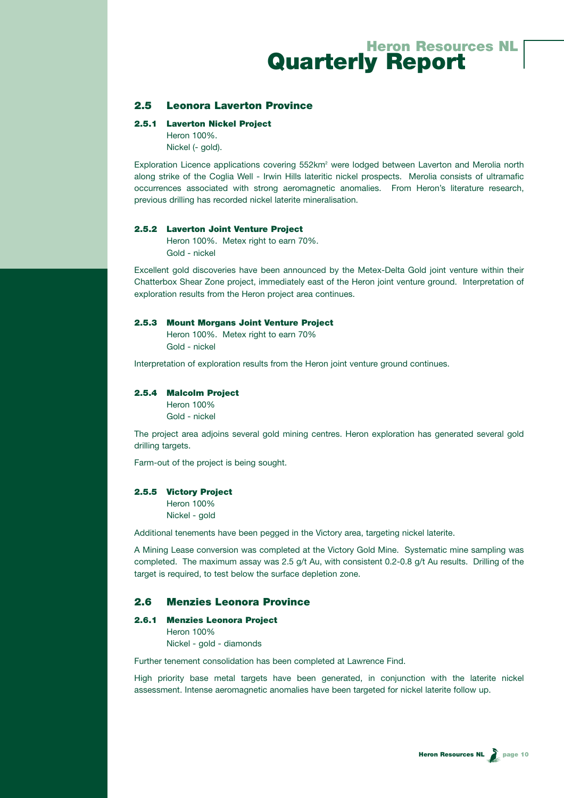## 2.5 Leonora Laverton Province

#### 2.5.1 Laverton Nickel Project

Heron 100%. Nickel (- gold).

Exploration Licence applications covering 552km<sup>2</sup> were lodged between Laverton and Merolia north along strike of the Coglia Well - Irwin Hills lateritic nickel prospects. Merolia consists of ultramafic occurrences associated with strong aeromagnetic anomalies. From Heron's literature research, previous drilling has recorded nickel laterite mineralisation.

#### 2.5.2 Laverton Joint Venture Project

Heron 100%. Metex right to earn 70%. Gold - nickel

Excellent gold discoveries have been announced by the Metex-Delta Gold joint venture within their Chatterbox Shear Zone project, immediately east of the Heron joint venture ground. Interpretation of exploration results from the Heron project area continues.

#### 2.5.3 Mount Morgans Joint Venture Project

Heron 100%. Metex right to earn 70% Gold - nickel

Interpretation of exploration results from the Heron joint venture ground continues.

#### 2.5.4 Malcolm Project

Heron 100% Gold - nickel

The project area adjoins several gold mining centres. Heron exploration has generated several gold drilling targets.

Farm-out of the project is being sought.

#### 2.5.5 Victory Project

Heron 100% Nickel - gold

Additional tenements have been pegged in the Victory area, targeting nickel laterite.

A Mining Lease conversion was completed at the Victory Gold Mine. Systematic mine sampling was completed. The maximum assay was 2.5 g/t Au, with consistent 0.2-0.8 g/t Au results. Drilling of the target is required, to test below the surface depletion zone.

### 2.6 Menzies Leonora Province

#### 2.6.1 Menzies Leonora Project

Heron 100% Nickel - gold - diamonds

Further tenement consolidation has been completed at Lawrence Find.

High priority base metal targets have been generated, in conjunction with the laterite nickel assessment. Intense aeromagnetic anomalies have been targeted for nickel laterite follow up.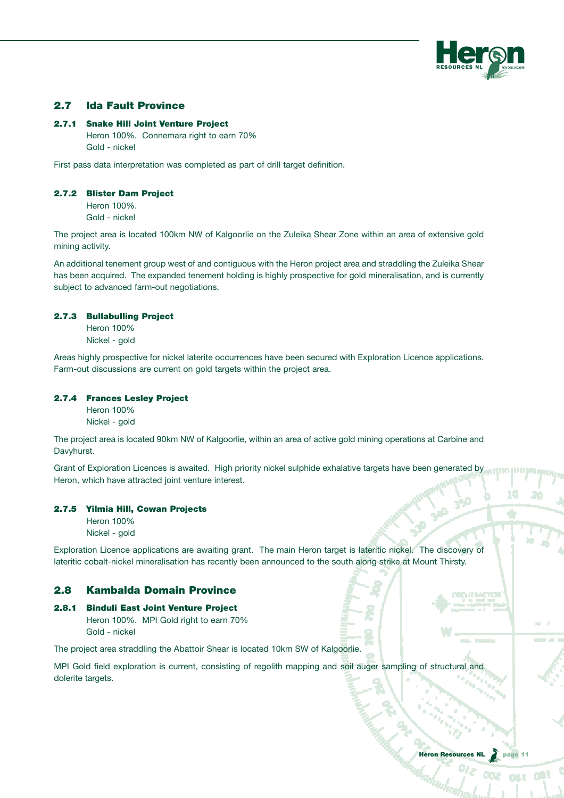

## 2.7 Ida Fault Province

#### 2.7.1 Snake Hill Joint Venture Project

Heron 100%. Connemara right to earn 70% Gold - nickel

First pass data interpretation was completed as part of drill target definition.

#### 2.7.2 Blister Dam Project

Heron 100%. Gold - nickel

The project area is located 100km NW of Kalgoorlie on the Zuleika Shear Zone within an area of extensive gold mining activity.

An additional tenement group west of and contiguous with the Heron project area and straddling the Zuleika Shear has been acquired. The expanded tenement holding is highly prospective for gold mineralisation, and is currently subject to advanced farm-out negotiations.

#### 2.7.3 Bullabulling Project

Heron 100% Nickel - gold

Areas highly prospective for nickel laterite occurrences have been secured with Exploration Licence applications. Farm-out discussions are current on gold targets within the project area.

#### 2.7.4 Frances Lesley Project

Heron 100% Nickel - gold

The project area is located 90km NW of Kalgoorlie, within an area of active gold mining operations at Carbine and Davyhurst.

Grant of Exploration Licences is awaited. High priority nickel sulphide exhalative targets have been generated by Heron, which have attracted joint venture interest.

#### 2.7.5 Yilmia Hill, Cowan Projects

Heron 100% Nickel - gold

Exploration Licence applications are awaiting grant. The main Heron target is lateritic nickel. The discovery of lateritic cobalt-nickel mineralisation has recently been announced to the south along strike at Mount Thirsty.

## 2.8 Kambalda Domain Province

2.8.1 Binduli East Joint Venture Project Heron 100%. MPI Gold right to earn 70% Gold - nickel

The project area straddling the Abattoir Shear is located 10km SW of Kalgoorlie.

MPI Gold field exploration is current, consisting of regolith mapping and soil auger sampling of structural and dolerite targets.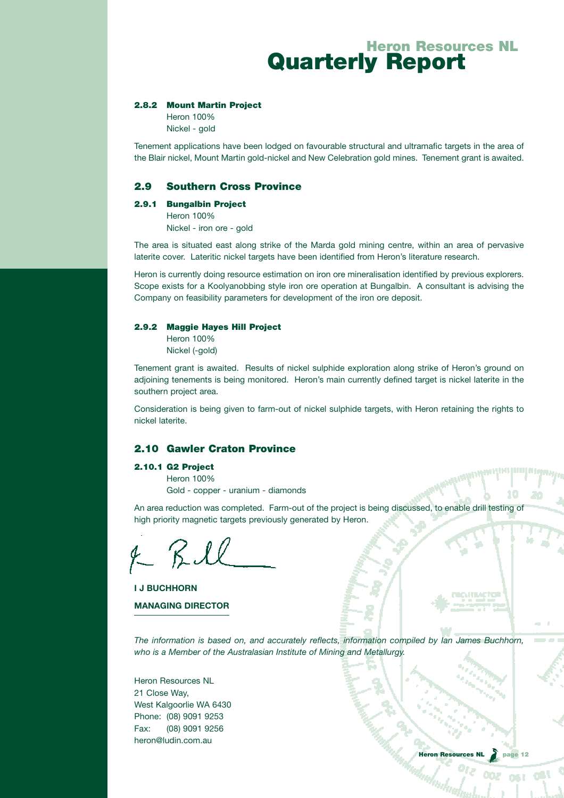#### 2.8.2 Mount Martin Project

Heron 100% Nickel - gold

Tenement applications have been lodged on favourable structural and ultramafic targets in the area of the Blair nickel, Mount Martin gold-nickel and New Celebration gold mines. Tenement grant is awaited.

#### 2.9 Southern Cross Province

#### 2.9.1 Bungalbin Project

Heron 100% Nickel - iron ore - gold

The area is situated east along strike of the Marda gold mining centre, within an area of pervasive laterite cover. Lateritic nickel targets have been identified from Heron's literature research.

Heron is currently doing resource estimation on iron ore mineralisation identified by previous explorers. Scope exists for a Koolyanobbing style iron ore operation at Bungalbin. A consultant is advising the Company on feasibility parameters for development of the iron ore deposit.

#### 2.9.2 Maggie Hayes Hill Project

Heron 100% Nickel (-gold)

Tenement grant is awaited. Results of nickel sulphide exploration along strike of Heron's ground on adjoining tenements is being monitored. Heron's main currently defined target is nickel laterite in the southern project area.

Consideration is being given to farm-out of nickel sulphide targets, with Heron retaining the rights to nickel laterite.

## 2.10 Gawler Craton Province

#### 2.10.1 G2 Project

Heron 100%

Gold - copper - uranium - diamonds

An area reduction was completed. Farm-out of the project is being discussed, to enable drill testing o high priority magnetic targets previously generated by Heron.

 $f R L$ 

**I J BUCHHORN MANAGING DIRECTOR**

*The information is based on, and accurately reflects, information compiled by Ian James Buchhorn, who is a Member of the Australasian Institute of Mining and Metallurgy.*

Heron Resources NL 21 Close Way, West Kalgoorlie WA 6430 Phone: (08) 9091 9253 Fax: (08) 9091 9256 heron@ludin.com.au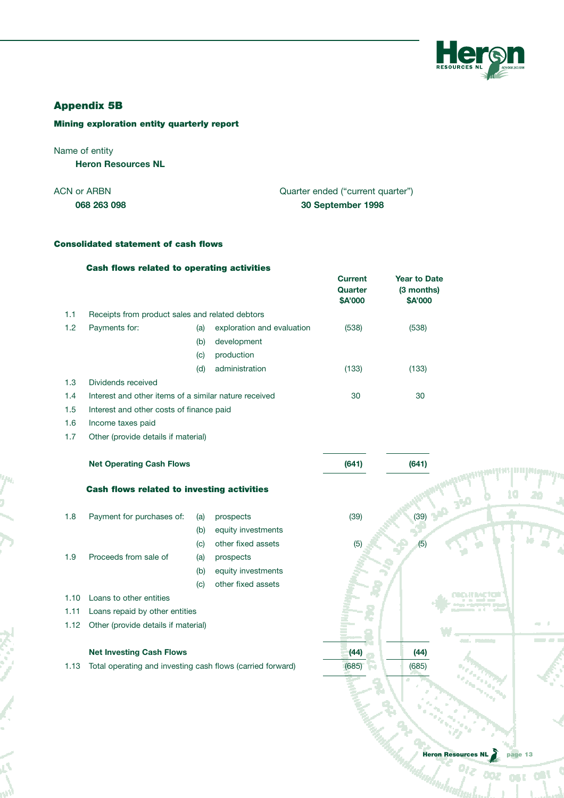

## Appendix 5B

## Mining exploration entity quarterly report

## Name of entity

ij

**Heron Resources NL**

| 068 263 098 | 30 September 1998                 |
|-------------|-----------------------------------|
| ACN or ARBN | Quarter ended ("current quarter") |

## Consolidated statement of cash flows

|      | <b>Cash flows related to operating activities</b>          |     |                            | <b>Current</b><br>Quarter<br>\$A'000 | <b>Year to Date</b><br>(3 months)<br>\$A'000 |      |
|------|------------------------------------------------------------|-----|----------------------------|--------------------------------------|----------------------------------------------|------|
| 1.1  | Receipts from product sales and related debtors            |     |                            |                                      |                                              |      |
| 1.2  | Payments for:                                              | (a) | exploration and evaluation | (538)                                | (538)                                        |      |
|      |                                                            | (b) | development                |                                      |                                              |      |
|      |                                                            | (c) | production                 |                                      |                                              |      |
|      |                                                            | (d) | administration             | (133)                                | (133)                                        |      |
| 1.3  | Dividends received                                         |     |                            |                                      |                                              |      |
| 1.4  | Interest and other items of a similar nature received      |     |                            | 30                                   | 30                                           |      |
| 1.5  | Interest and other costs of finance paid                   |     |                            |                                      |                                              |      |
| 1.6  | Income taxes paid                                          |     |                            |                                      |                                              |      |
| 1.7  | Other (provide details if material)                        |     |                            |                                      |                                              |      |
|      | <b>Net Operating Cash Flows</b>                            |     |                            | (641)                                | (641)                                        |      |
|      | <b>Cash flows related to investing activities</b>          |     |                            |                                      |                                              |      |
| 1.8  | Payment for purchases of:                                  | (a) | prospects                  | (39)                                 | (39)                                         | اللو |
|      |                                                            | (b) | equity investments         |                                      |                                              |      |
|      |                                                            | (c) | other fixed assets         | (5)                                  | (5)                                          |      |
| 1.9  | Proceeds from sale of                                      | (a) | prospects                  |                                      |                                              |      |
|      |                                                            | (b) | equity investments         |                                      |                                              |      |
|      |                                                            | (c) | other fixed assets         |                                      |                                              |      |
| 1.10 | Loans to other entities                                    |     |                            |                                      |                                              |      |
| 1.11 | Loans repaid by other entities                             |     |                            |                                      |                                              |      |
| 1.12 | Other (provide details if material)                        |     |                            |                                      |                                              | - 1  |
|      |                                                            |     |                            |                                      |                                              |      |
|      | <b>Net Investing Cash Flows</b>                            |     |                            | (44)                                 | (44)                                         |      |
| 1.13 | Total operating and investing cash flows (carried forward) |     |                            | (685)                                | (685)                                        |      |
|      |                                                            |     |                            |                                      |                                              |      |
|      |                                                            |     |                            |                                      |                                              |      |

Ooz

**OST ORL** 

¢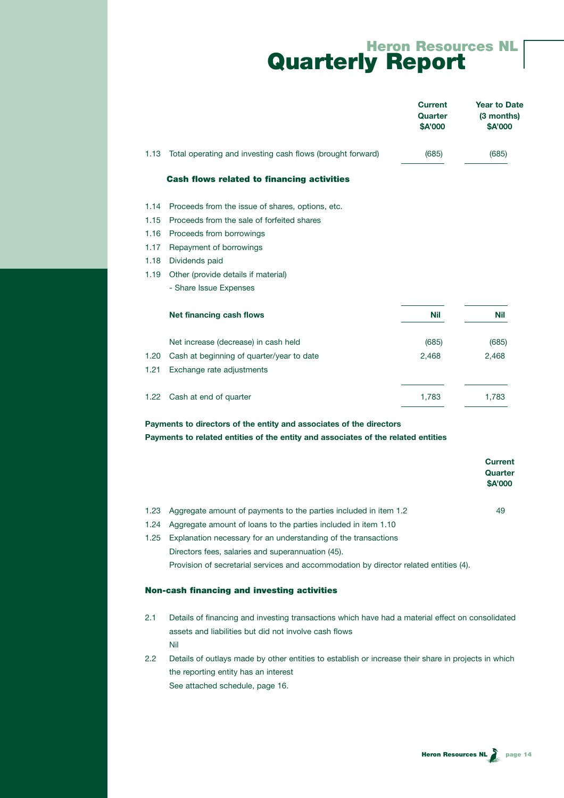|      |                                                            | <b>Current</b><br>Quarter<br>\$A'000 | <b>Year to Date</b><br>(3 months)<br>\$A'000 |
|------|------------------------------------------------------------|--------------------------------------|----------------------------------------------|
| 1.13 | Total operating and investing cash flows (brought forward) | (685)                                | (685)                                        |
|      | <b>Cash flows related to financing activities</b>          |                                      |                                              |
| 1.14 | Proceeds from the issue of shares, options, etc.           |                                      |                                              |
| 1.15 | Proceeds from the sale of forfeited shares                 |                                      |                                              |
| 1.16 | Proceeds from borrowings                                   |                                      |                                              |
| 1.17 | Repayment of borrowings                                    |                                      |                                              |
| 1.18 | Dividends paid                                             |                                      |                                              |
| 1.19 | Other (provide details if material)                        |                                      |                                              |
|      | - Share Issue Expenses                                     |                                      |                                              |
|      | Net financing cash flows                                   | <b>Nil</b>                           | <b>Nil</b>                                   |
|      | Net increase (decrease) in cash held                       | (685)                                | (685)                                        |
| 1.20 | Cash at beginning of quarter/year to date                  | 2,468                                | 2,468                                        |
| 1.21 | Exchange rate adjustments                                  |                                      |                                              |
| 1.22 | Cash at end of quarter                                     | 1,783                                | 1,783                                        |
|      |                                                            |                                      |                                              |

**Payments to directors of the entity and associates of the directors**

| Payments to related entities of the entity and associates of the related entities |  |  |  |
|-----------------------------------------------------------------------------------|--|--|--|
|-----------------------------------------------------------------------------------|--|--|--|

|      |                                                                                       | <b>Current</b><br>Quarter<br><b>\$A'000</b> |
|------|---------------------------------------------------------------------------------------|---------------------------------------------|
| 1.23 | Aggregate amount of payments to the parties included in item 1.2                      | 49                                          |
| 1.24 | Aggregate amount of loans to the parties included in item 1.10                        |                                             |
| 1.25 | Explanation necessary for an understanding of the transactions                        |                                             |
|      | Directors fees, salaries and superannuation (45).                                     |                                             |
|      | Provision of secretarial services and accommodation by director related entities (4). |                                             |
|      | <b>Non-cash financing and investing activities</b>                                    |                                             |

- 2.1 Details of financing and investing transactions which have had a material effect on consolidated assets and liabilities but did not involve cash flows Nil
- 2.2 Details of outlays made by other entities to establish or increase their share in projects in which the reporting entity has an interest See attached schedule, page 16.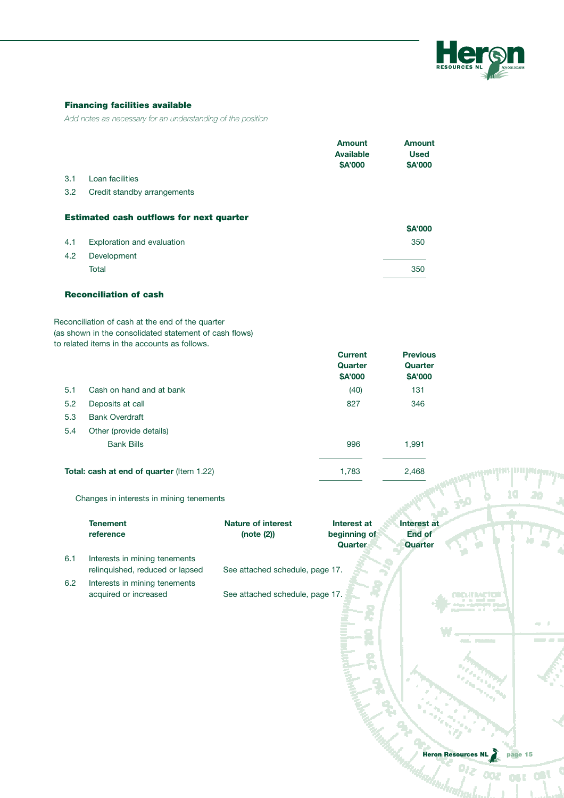

## Financing facilities available

*Add notes as necessary for an understanding of the position*

|         |                                                                                                                                                            |                                 | <b>Amount</b><br><b>Available</b><br>\$A'000 | <b>Amount</b><br><b>Used</b><br>\$A'000 |                                      |
|---------|------------------------------------------------------------------------------------------------------------------------------------------------------------|---------------------------------|----------------------------------------------|-----------------------------------------|--------------------------------------|
| 3.1     | Loan facilities                                                                                                                                            |                                 |                                              |                                         |                                      |
| 3.2     | Credit standby arrangements                                                                                                                                |                                 |                                              |                                         |                                      |
|         | <b>Estimated cash outflows for next quarter</b>                                                                                                            |                                 |                                              |                                         |                                      |
|         |                                                                                                                                                            |                                 |                                              | \$A'000                                 |                                      |
| 4.1     | Exploration and evaluation                                                                                                                                 |                                 |                                              | 350                                     |                                      |
| 4.2     | Development                                                                                                                                                |                                 |                                              |                                         |                                      |
|         | Total                                                                                                                                                      |                                 |                                              | 350                                     |                                      |
|         | <b>Reconciliation of cash</b>                                                                                                                              |                                 |                                              |                                         |                                      |
|         | Reconciliation of cash at the end of the quarter<br>(as shown in the consolidated statement of cash flows)<br>to related items in the accounts as follows. |                                 |                                              |                                         |                                      |
|         |                                                                                                                                                            |                                 | <b>Current</b>                               | <b>Previous</b>                         |                                      |
|         |                                                                                                                                                            |                                 | Quarter                                      | Quarter                                 |                                      |
|         |                                                                                                                                                            |                                 | \$A'000                                      | \$A'000                                 |                                      |
| 5.1     | Cash on hand and at bank                                                                                                                                   |                                 | (40)                                         | 131                                     |                                      |
| 5.2     | Deposits at call                                                                                                                                           |                                 | 827                                          | 346                                     |                                      |
| 5.3     | <b>Bank Overdraft</b>                                                                                                                                      |                                 |                                              |                                         |                                      |
| 5.4     | Other (provide details)                                                                                                                                    |                                 |                                              |                                         |                                      |
|         | <b>Bank Bills</b>                                                                                                                                          |                                 | 996                                          | 1,991                                   |                                      |
|         | Total: cash at end of quarter (Item 1.22)                                                                                                                  |                                 | 1,783                                        | 2,468                                   |                                      |
|         | Changes in interests in mining tenements                                                                                                                   |                                 |                                              |                                         |                                      |
|         | <b>Tenement</b>                                                                                                                                            | <b>Nature of interest</b>       | Interest at                                  | Interest at                             |                                      |
|         | reference                                                                                                                                                  | (note (2))                      | beginning of                                 | <b>End of</b>                           |                                      |
|         |                                                                                                                                                            |                                 | Quarter                                      | Quarter                                 |                                      |
| 6.1     | Interests in mining tenements                                                                                                                              |                                 |                                              |                                         |                                      |
|         | relinquished, reduced or lapsed                                                                                                                            | See attached schedule, page 17. |                                              |                                         |                                      |
| $6.2\,$ | Interests in mining tenements                                                                                                                              | See attached schedule, page 17. |                                              |                                         |                                      |
|         | acquired or increased                                                                                                                                      |                                 |                                              |                                         |                                      |
|         |                                                                                                                                                            |                                 |                                              |                                         |                                      |
|         |                                                                                                                                                            |                                 |                                              |                                         |                                      |
|         |                                                                                                                                                            |                                 |                                              |                                         | <b>PART The State Lay</b>            |
|         |                                                                                                                                                            |                                 |                                              |                                         |                                      |
|         |                                                                                                                                                            |                                 |                                              |                                         |                                      |
|         |                                                                                                                                                            |                                 |                                              |                                         |                                      |
|         |                                                                                                                                                            |                                 |                                              |                                         |                                      |
|         |                                                                                                                                                            |                                 |                                              |                                         |                                      |
|         |                                                                                                                                                            |                                 |                                              |                                         |                                      |
|         |                                                                                                                                                            |                                 |                                              |                                         |                                      |
|         |                                                                                                                                                            |                                 |                                              |                                         | <b>Heron Resources NL</b><br>page 15 |
|         |                                                                                                                                                            |                                 |                                              |                                         |                                      |
|         |                                                                                                                                                            |                                 |                                              |                                         |                                      |
|         |                                                                                                                                                            |                                 |                                              |                                         |                                      |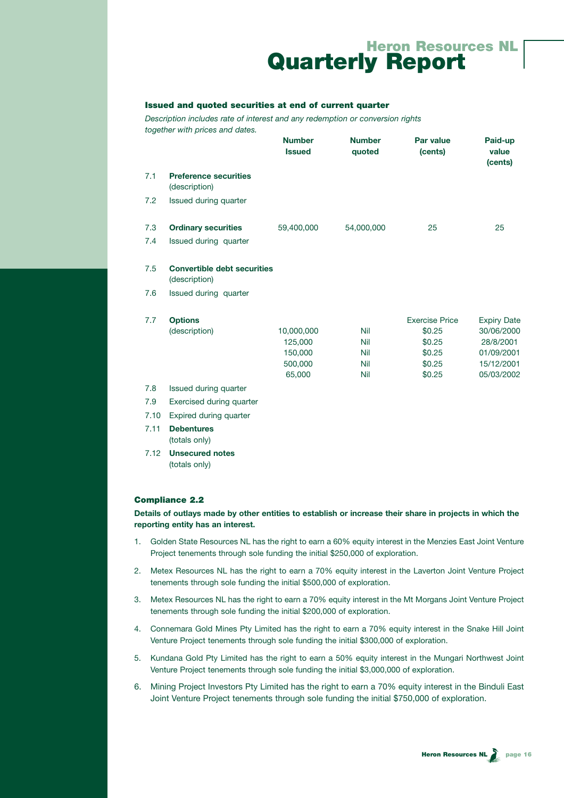#### Issued and quoted securities at end of current quarter

*Description includes rate of interest and any redemption or conversion rights together with prices and dates.*

|     |                                                     | <b>Number</b><br><b>Issued</b> | <b>Number</b><br>quoted | Par value<br>(cents)  | Paid-up<br>value<br>(cents) |
|-----|-----------------------------------------------------|--------------------------------|-------------------------|-----------------------|-----------------------------|
| 7.1 | <b>Preference securities</b><br>(description)       |                                |                         |                       |                             |
| 7.2 | Issued during quarter                               |                                |                         |                       |                             |
| 7.3 | <b>Ordinary securities</b>                          | 59,400,000                     | 54,000,000              | 25                    | 25                          |
| 7.4 | Issued during quarter                               |                                |                         |                       |                             |
| 7.5 | <b>Convertible debt securities</b><br>(description) |                                |                         |                       |                             |
| 7.6 | Issued during quarter                               |                                |                         |                       |                             |
| 7.7 | <b>Options</b>                                      |                                |                         | <b>Exercise Price</b> | <b>Expiry Date</b>          |
|     | (description)                                       | 10,000,000                     | <b>Nil</b>              | \$0.25                | 30/06/2000                  |
|     |                                                     | 125,000                        | Nil                     | \$0.25                | 28/8/2001                   |
|     |                                                     | 150,000                        | <b>Nil</b>              | \$0.25                | 01/09/2001                  |
|     |                                                     | 500,000                        | <b>Nil</b>              | \$0.25                | 15/12/2001                  |
|     |                                                     | 65,000                         | <b>Nil</b>              | \$0.25                | 05/03/2002                  |
| 7.8 | Issued during quarter                               |                                |                         |                       |                             |
| 7.9 | Exercised during quarter                            |                                |                         |                       |                             |
|     | 7.10 Evoiced during quarter                         |                                |                         |                       |                             |

- 
- 7.10 Expired during quarter
- 7.11 **Debentures** (totals only)
- 7.12 **Unsecured notes**

(totals only)

#### Compliance 2.2

**Details of outlays made by other entities to establish or increase their share in projects in which the reporting entity has an interest.**

- 1. Golden State Resources NL has the right to earn a 60% equity interest in the Menzies East Joint Venture Project tenements through sole funding the initial \$250,000 of exploration.
- 2. Metex Resources NL has the right to earn a 70% equity interest in the Laverton Joint Venture Project tenements through sole funding the initial \$500,000 of exploration.
- 3. Metex Resources NL has the right to earn a 70% equity interest in the Mt Morgans Joint Venture Project tenements through sole funding the initial \$200,000 of exploration.
- 4. Connemara Gold Mines Pty Limited has the right to earn a 70% equity interest in the Snake Hill Joint Venture Project tenements through sole funding the initial \$300,000 of exploration.
- 5. Kundana Gold Pty Limited has the right to earn a 50% equity interest in the Mungari Northwest Joint Venture Project tenements through sole funding the initial \$3,000,000 of exploration.
- 6. Mining Project Investors Pty Limited has the right to earn a 70% equity interest in the Binduli East Joint Venture Project tenements through sole funding the initial \$750,000 of exploration.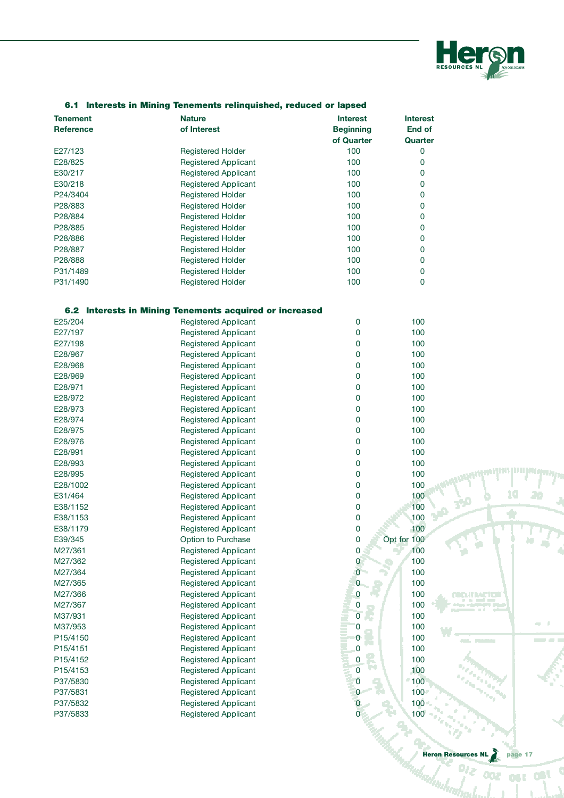

| <b>Tenement</b><br><b>Reference</b> | <b>Nature</b><br>of Interest                            | <b>Interest</b><br><b>Beginning</b><br>of Quarter | <b>Interest</b><br>End of<br>Quarter |    |
|-------------------------------------|---------------------------------------------------------|---------------------------------------------------|--------------------------------------|----|
| E27/123                             | <b>Registered Holder</b>                                | 100                                               | 0                                    |    |
| E28/825                             | <b>Registered Applicant</b>                             | 100                                               | 0                                    |    |
| E30/217                             | <b>Registered Applicant</b>                             | 100                                               | 0                                    |    |
| E30/218                             | <b>Registered Applicant</b>                             | 100                                               | 0                                    |    |
| P24/3404                            | <b>Registered Holder</b>                                | 100                                               | 0                                    |    |
| P28/883                             | <b>Registered Holder</b>                                | 100                                               | 0                                    |    |
| P28/884                             | <b>Registered Holder</b>                                | 100                                               | 0                                    |    |
| P28/885                             | <b>Registered Holder</b>                                | 100                                               | 0                                    |    |
|                                     |                                                         | 100                                               | 0                                    |    |
| P28/886                             | <b>Registered Holder</b>                                |                                                   |                                      |    |
| P28/887                             | <b>Registered Holder</b>                                | 100                                               | 0                                    |    |
| P28/888                             | <b>Registered Holder</b>                                | 100                                               | 0                                    |    |
| P31/1489                            | <b>Registered Holder</b>                                | 100                                               | 0                                    |    |
| P31/1490                            | <b>Registered Holder</b>                                | 100                                               | 0                                    |    |
|                                     | 6.2 Interests in Mining Tenements acquired or increased |                                                   |                                      |    |
| E25/204                             | <b>Registered Applicant</b>                             | 0                                                 | 100                                  |    |
| E27/197                             | <b>Registered Applicant</b>                             | 0                                                 | 100                                  |    |
| E27/198                             | <b>Registered Applicant</b>                             | 0                                                 | 100                                  |    |
| E28/967                             | <b>Registered Applicant</b>                             | 0                                                 | 100                                  |    |
| E28/968                             | <b>Registered Applicant</b>                             | 0                                                 | 100                                  |    |
| E28/969                             | <b>Registered Applicant</b>                             | 0                                                 | 100                                  |    |
| E28/971                             | <b>Registered Applicant</b>                             | 0                                                 | 100                                  |    |
| E28/972                             | <b>Registered Applicant</b>                             | 0                                                 | 100                                  |    |
| E28/973                             | <b>Registered Applicant</b>                             | 0                                                 | 100                                  |    |
| E28/974                             | <b>Registered Applicant</b>                             | 0                                                 | 100                                  |    |
| E28/975                             | <b>Registered Applicant</b>                             | 0                                                 | 100                                  |    |
| E28/976                             | <b>Registered Applicant</b>                             | 0                                                 | 100                                  |    |
| E28/991                             | <b>Registered Applicant</b>                             | 0                                                 | 100                                  |    |
| E28/993                             | <b>Registered Applicant</b>                             | 0                                                 | 100                                  |    |
| E28/995                             | <b>Registered Applicant</b>                             | 0                                                 | 100                                  |    |
| E28/1002                            | <b>Registered Applicant</b>                             | 0                                                 | 100                                  |    |
| E31/464                             | <b>Registered Applicant</b>                             | 0                                                 | 100                                  |    |
| E38/1152                            | <b>Registered Applicant</b>                             | 0                                                 | 100                                  | هي |
| E38/1153                            | <b>Registered Applicant</b>                             | 0                                                 | 100                                  |    |
| E38/1179                            | <b>Registered Applicant</b>                             | $\mathbf 0$                                       | 100                                  |    |
| E39/345                             | Option to Purchase                                      | $\pmb{0}$                                         | Opt for 100                          |    |
| M27/361                             | <b>Registered Applicant</b>                             | $\mathbf 0$                                       | 100                                  |    |
| M27/362                             | <b>Registered Applicant</b>                             | 0                                                 | 100                                  |    |
| M27/364                             | <b>Registered Applicant</b>                             | $\overline{0}$                                    | 100                                  |    |
| M27/365                             | <b>Registered Applicant</b>                             | 0                                                 | 100                                  |    |
| M27/366                             | <b>Registered Applicant</b>                             | $\mathbf 0$                                       | 100                                  |    |
|                                     | <b>Registered Applicant</b>                             |                                                   |                                      |    |
| M27/367                             |                                                         | 0                                                 | 100                                  |    |
| M37/931                             | <b>Registered Applicant</b>                             | $\overline{0}$                                    | 100                                  |    |
| M37/953                             | Registered Applicant                                    | 0                                                 | 100                                  |    |
| P15/4150                            | <b>Registered Applicant</b>                             | 0                                                 | 100                                  |    |
| P15/4151                            | <b>Registered Applicant</b>                             | 0                                                 | 100                                  |    |
| P15/4152                            | <b>Registered Applicant</b>                             | 0                                                 | 100                                  |    |
| P15/4153                            | <b>Registered Applicant</b>                             | $\overline{0}$                                    | 100                                  |    |
| P37/5830                            | <b>Registered Applicant</b>                             | $\mathbf 0$                                       | $-100$                               |    |
| P37/5831                            | <b>Registered Applicant</b>                             | $\overline{0}$                                    | 100                                  |    |
| P37/5832                            | Registered Applicant                                    | $\mathbf 0$                                       | 100                                  |    |
| P37/5833                            | <b>Registered Applicant</b>                             |                                                   | 100                                  |    |
|                                     |                                                         |                                                   |                                      |    |

### 6.1 Interests in Mining Tenements relinquished, reduced or lapsed

Heron Resources NL page 17

ope

Imhud

punastat

10

÷

20

м

 $\sim$  $\pm$ 

ost out

¢

--